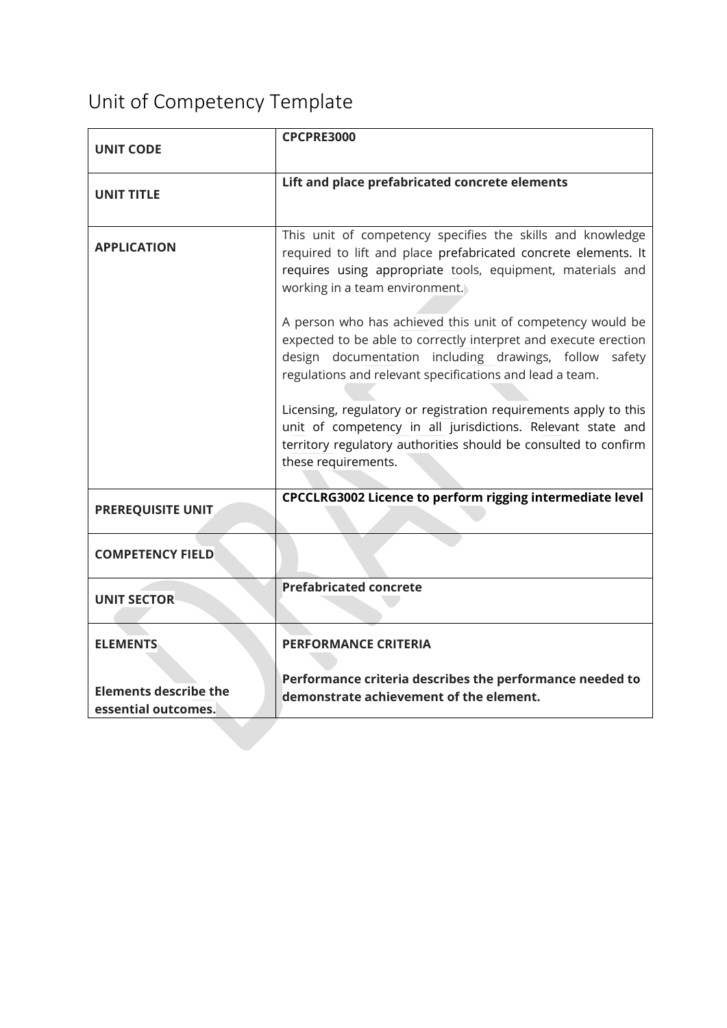## Unit of Competency Template

| <b>UNIT CODE</b>                                    | <b>CPCPRE3000</b>                                                                                                                                                                                                                                                                                                                                                                                                                                                                   |
|-----------------------------------------------------|-------------------------------------------------------------------------------------------------------------------------------------------------------------------------------------------------------------------------------------------------------------------------------------------------------------------------------------------------------------------------------------------------------------------------------------------------------------------------------------|
|                                                     |                                                                                                                                                                                                                                                                                                                                                                                                                                                                                     |
| <b>UNIT TITLE</b>                                   | Lift and place prefabricated concrete elements                                                                                                                                                                                                                                                                                                                                                                                                                                      |
| <b>APPLICATION</b>                                  | This unit of competency specifies the skills and knowledge<br>required to lift and place prefabricated concrete elements. It<br>requires using appropriate tools, equipment, materials and<br>working in a team environment.                                                                                                                                                                                                                                                        |
|                                                     | A person who has achieved this unit of competency would be<br>expected to be able to correctly interpret and execute erection<br>design documentation including drawings, follow<br>safety<br>regulations and relevant specifications and lead a team.<br>Licensing, regulatory or registration requirements apply to this<br>unit of competency in all jurisdictions. Relevant state and<br>territory regulatory authorities should be consulted to confirm<br>these requirements. |
| <b>PREREQUISITE UNIT</b>                            | CPCCLRG3002 Licence to perform rigging intermediate level                                                                                                                                                                                                                                                                                                                                                                                                                           |
| <b>COMPETENCY FIELD</b>                             |                                                                                                                                                                                                                                                                                                                                                                                                                                                                                     |
| <b>UNIT SECTOR</b>                                  | <b>Prefabricated concrete</b>                                                                                                                                                                                                                                                                                                                                                                                                                                                       |
| <b>ELEMENTS</b>                                     | <b>PERFORMANCE CRITERIA</b>                                                                                                                                                                                                                                                                                                                                                                                                                                                         |
| <b>Elements describe the</b><br>essential outcomes. | Performance criteria describes the performance needed to<br>demonstrate achievement of the element.                                                                                                                                                                                                                                                                                                                                                                                 |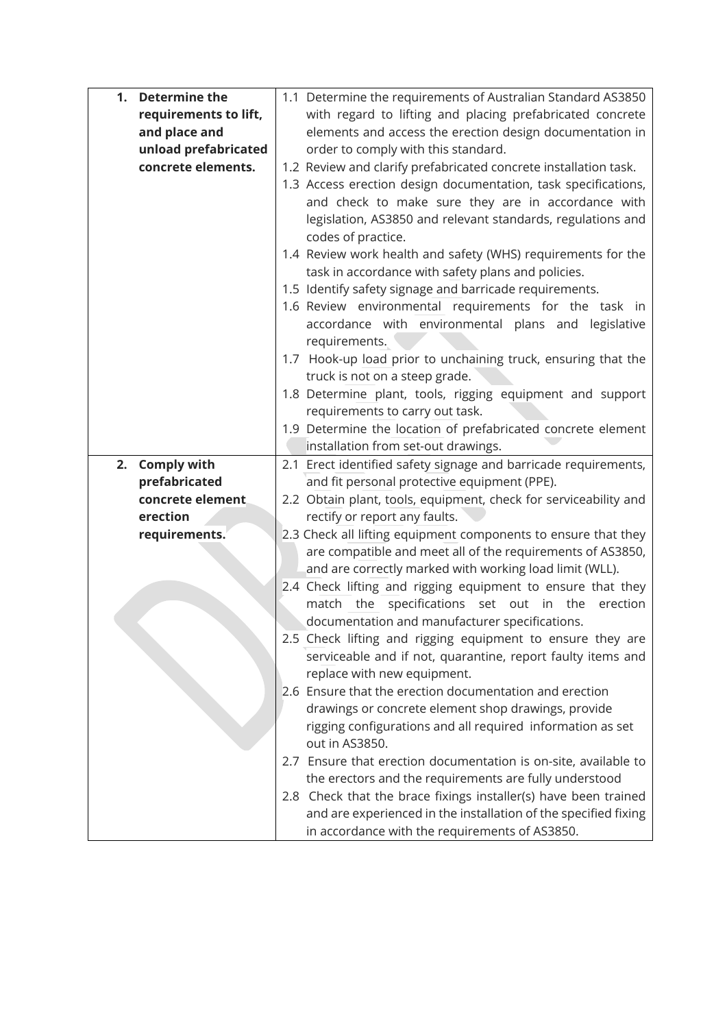| 1. | <b>Determine the</b>  | 1.1 Determine the requirements of Australian Standard AS3850     |  |
|----|-----------------------|------------------------------------------------------------------|--|
|    | requirements to lift, | with regard to lifting and placing prefabricated concrete        |  |
|    | and place and         | elements and access the erection design documentation in         |  |
|    | unload prefabricated  | order to comply with this standard.                              |  |
|    | concrete elements.    | 1.2 Review and clarify prefabricated concrete installation task. |  |
|    |                       | 1.3 Access erection design documentation, task specifications,   |  |
|    |                       | and check to make sure they are in accordance with               |  |
|    |                       | legislation, AS3850 and relevant standards, regulations and      |  |
|    |                       | codes of practice.                                               |  |
|    |                       | 1.4 Review work health and safety (WHS) requirements for the     |  |
|    |                       | task in accordance with safety plans and policies.               |  |
|    |                       | 1.5 Identify safety signage and barricade requirements.          |  |
|    |                       | 1.6 Review environmental requirements for the task in            |  |
|    |                       | accordance with environmental plans and legislative              |  |
|    |                       | requirements.                                                    |  |
|    |                       | 1.7 Hook-up load prior to unchaining truck, ensuring that the    |  |
|    |                       | truck is not on a steep grade.                                   |  |
|    |                       | 1.8 Determine plant, tools, rigging equipment and support        |  |
|    |                       | requirements to carry out task.                                  |  |
|    |                       | 1.9 Determine the location of prefabricated concrete element     |  |
|    |                       | installation from set-out drawings.                              |  |
|    | 2. Comply with        | 2.1 Erect identified safety signage and barricade requirements,  |  |
|    | prefabricated         | and fit personal protective equipment (PPE).                     |  |
|    | concrete element      | 2.2 Obtain plant, tools, equipment, check for serviceability and |  |
|    | erection              | rectify or report any faults.                                    |  |
|    | requirements.         | 2.3 Check all lifting equipment components to ensure that they   |  |
|    |                       | are compatible and meet all of the requirements of AS3850,       |  |
|    |                       |                                                                  |  |
|    |                       | and are correctly marked with working load limit (WLL).          |  |
|    |                       | 2.4 Check lifting and rigging equipment to ensure that they      |  |
|    |                       | match the<br>specifications set out in the<br>erection           |  |
|    |                       | documentation and manufacturer specifications.                   |  |
|    |                       | 2.5 Check lifting and rigging equipment to ensure they are       |  |
|    |                       | serviceable and if not, quarantine, report faulty items and      |  |
|    |                       | replace with new equipment.                                      |  |
|    |                       | 2.6 Ensure that the erection documentation and erection          |  |
|    |                       | drawings or concrete element shop drawings, provide              |  |
|    |                       | rigging configurations and all required information as set       |  |
|    |                       | out in AS3850.                                                   |  |
|    |                       | 2.7 Ensure that erection documentation is on-site, available to  |  |
|    |                       | the erectors and the requirements are fully understood           |  |
|    |                       | 2.8 Check that the brace fixings installer(s) have been trained  |  |
|    |                       | and are experienced in the installation of the specified fixing  |  |
|    |                       | in accordance with the requirements of AS3850.                   |  |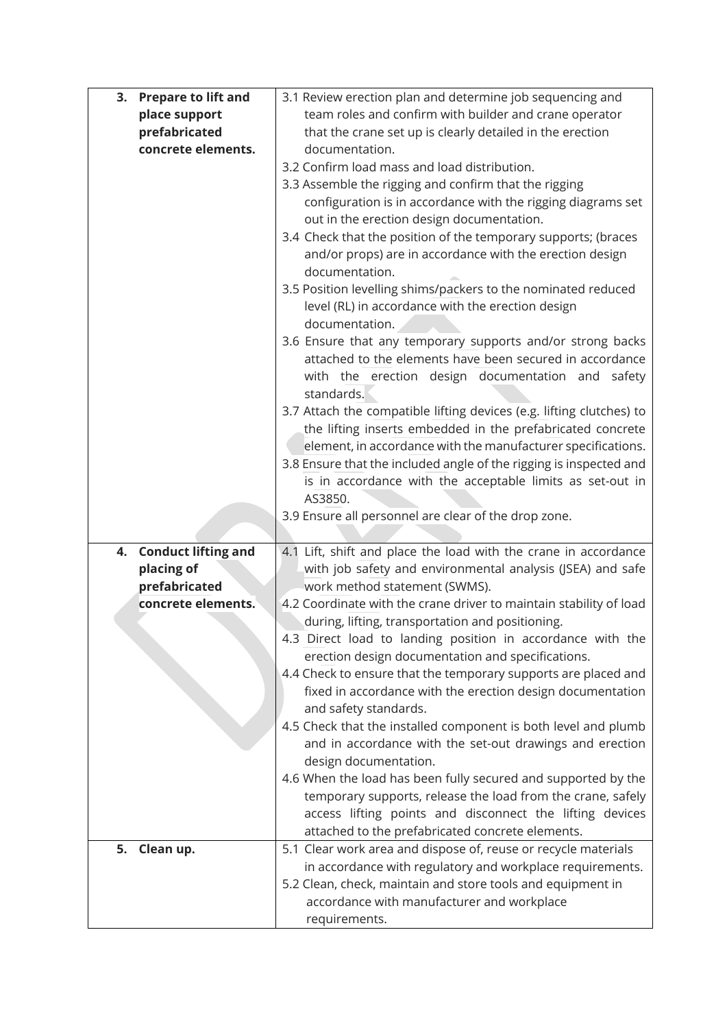|    | 3. Prepare to lift and | 3.1 Review erection plan and determine job sequencing and                                                                  |  |
|----|------------------------|----------------------------------------------------------------------------------------------------------------------------|--|
|    | place support          | team roles and confirm with builder and crane operator                                                                     |  |
|    | prefabricated          | that the crane set up is clearly detailed in the erection                                                                  |  |
|    | concrete elements.     | documentation.                                                                                                             |  |
|    |                        | 3.2 Confirm load mass and load distribution.                                                                               |  |
|    |                        | 3.3 Assemble the rigging and confirm that the rigging                                                                      |  |
|    |                        | configuration is in accordance with the rigging diagrams set                                                               |  |
|    |                        | out in the erection design documentation.                                                                                  |  |
|    |                        | 3.4 Check that the position of the temporary supports; (braces                                                             |  |
|    |                        | and/or props) are in accordance with the erection design                                                                   |  |
|    |                        | documentation.                                                                                                             |  |
|    |                        | 3.5 Position levelling shims/packers to the nominated reduced                                                              |  |
|    |                        | level (RL) in accordance with the erection design                                                                          |  |
|    |                        | documentation.                                                                                                             |  |
|    |                        | 3.6 Ensure that any temporary supports and/or strong backs                                                                 |  |
|    |                        | attached to the elements have been secured in accordance                                                                   |  |
|    |                        | with the erection design documentation and safety                                                                          |  |
|    |                        | standards.                                                                                                                 |  |
|    |                        | 3.7 Attach the compatible lifting devices (e.g. lifting clutches) to                                                       |  |
|    |                        | the lifting inserts embedded in the prefabricated concrete<br>element, in accordance with the manufacturer specifications. |  |
|    |                        | 3.8 Ensure that the included angle of the rigging is inspected and                                                         |  |
|    |                        | is in accordance with the acceptable limits as set-out in                                                                  |  |
|    |                        | AS3850.                                                                                                                    |  |
|    |                        | 3.9 Ensure all personnel are clear of the drop zone.                                                                       |  |
|    |                        |                                                                                                                            |  |
|    | 4. Conduct lifting and | 4.1 Lift, shift and place the load with the crane in accordance                                                            |  |
|    | placing of             | with job safety and environmental analysis (JSEA) and safe                                                                 |  |
|    | prefabricated          | work method statement (SWMS).                                                                                              |  |
|    | concrete elements.     | 4.2 Coordinate with the crane driver to maintain stability of load                                                         |  |
|    |                        | during, lifting, transportation and positioning.                                                                           |  |
|    |                        | 4.3 Direct load to landing position in accordance with the                                                                 |  |
|    |                        | erection design documentation and specifications.                                                                          |  |
|    |                        | 4.4 Check to ensure that the temporary supports are placed and                                                             |  |
|    |                        | fixed in accordance with the erection design documentation                                                                 |  |
|    |                        | and safety standards.                                                                                                      |  |
|    |                        | 4.5 Check that the installed component is both level and plumb                                                             |  |
|    |                        | and in accordance with the set-out drawings and erection                                                                   |  |
|    |                        | design documentation.<br>4.6 When the load has been fully secured and supported by the                                     |  |
|    |                        | temporary supports, release the load from the crane, safely                                                                |  |
|    |                        | access lifting points and disconnect the lifting devices                                                                   |  |
|    |                        | attached to the prefabricated concrete elements.                                                                           |  |
| 5. | Clean up.              | 5.1 Clear work area and dispose of, reuse or recycle materials                                                             |  |
|    |                        | in accordance with regulatory and workplace requirements.                                                                  |  |
|    |                        | 5.2 Clean, check, maintain and store tools and equipment in                                                                |  |
|    |                        | accordance with manufacturer and workplace                                                                                 |  |
|    |                        | requirements.                                                                                                              |  |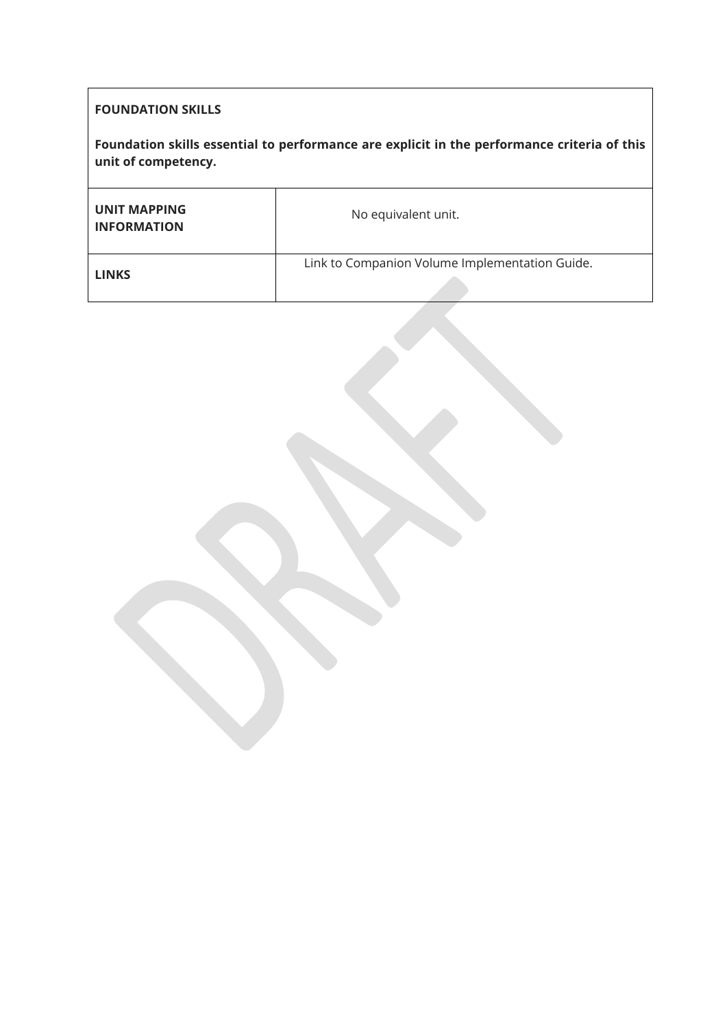## **FOUNDATION SKILLS**

**Foundation skills essential to performance are explicit in the performance criteria of this unit of competency.**

| <b>UNIT MAPPING</b><br><b>INFORMATION</b> | No equivalent unit.                            |
|-------------------------------------------|------------------------------------------------|
| <b>LINKS</b>                              | Link to Companion Volume Implementation Guide. |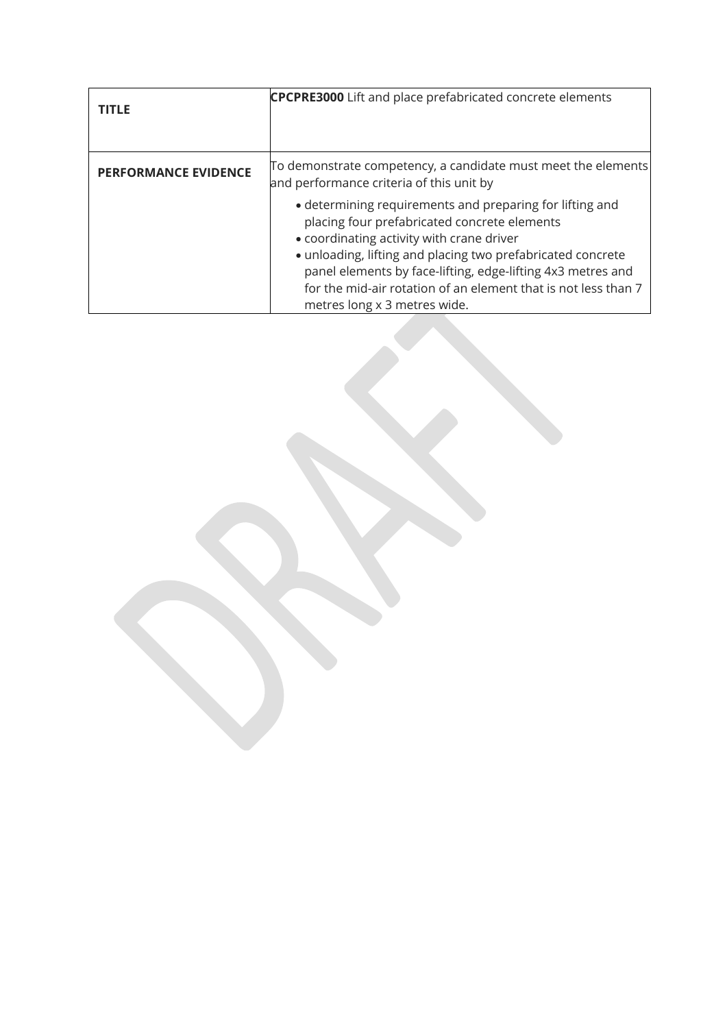| <b>TITLE</b>                | <b>CPCPRE3000</b> Lift and place prefabricated concrete elements                                                                                                                                                                                                                                                                                                                      |
|-----------------------------|---------------------------------------------------------------------------------------------------------------------------------------------------------------------------------------------------------------------------------------------------------------------------------------------------------------------------------------------------------------------------------------|
| <b>PERFORMANCE EVIDENCE</b> | To demonstrate competency, a candidate must meet the elements<br>and performance criteria of this unit by                                                                                                                                                                                                                                                                             |
|                             | • determining requirements and preparing for lifting and<br>placing four prefabricated concrete elements<br>• coordinating activity with crane driver<br>• unloading, lifting and placing two prefabricated concrete<br>panel elements by face-lifting, edge-lifting 4x3 metres and<br>for the mid-air rotation of an element that is not less than 7<br>metres long x 3 metres wide. |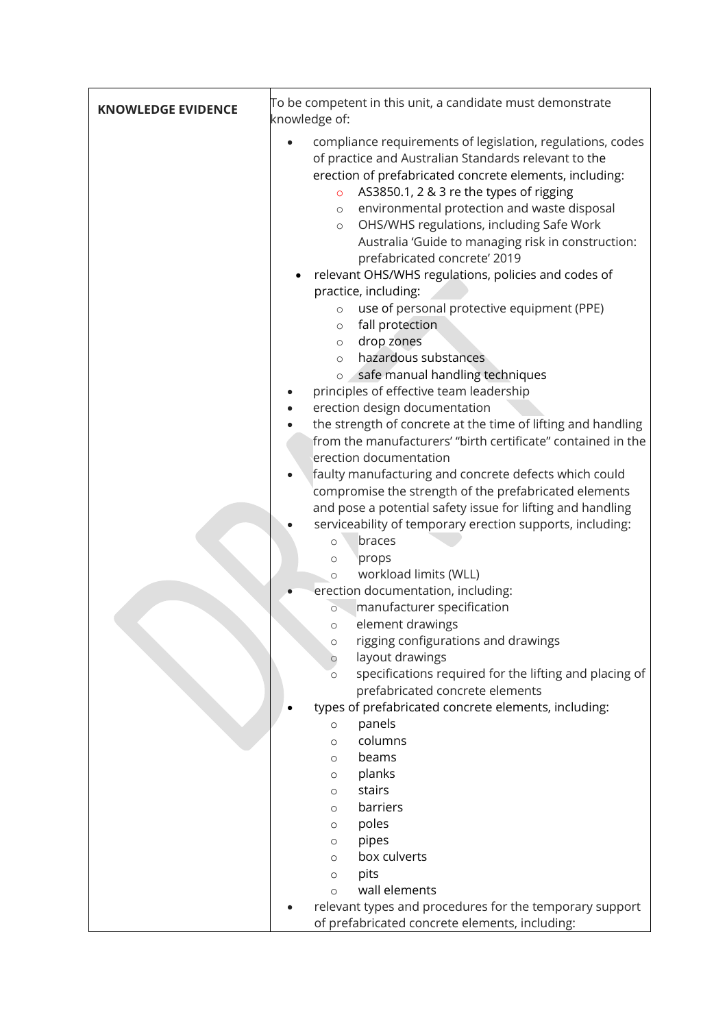| <b>KNOWLEDGE EVIDENCE</b> | To be competent in this unit, a candidate must demonstrate<br>knowledge of:                                                                                                                                                                                                                                                                                                                                                                                                                                                                                                                                                                                                                                                                                                                                                                                                                                                                                                                                                                                                                                                                                                                                                                                                                                                                                                                                                                                                                                                                                                                                                                                                                                                                                                                                             |  |
|---------------------------|-------------------------------------------------------------------------------------------------------------------------------------------------------------------------------------------------------------------------------------------------------------------------------------------------------------------------------------------------------------------------------------------------------------------------------------------------------------------------------------------------------------------------------------------------------------------------------------------------------------------------------------------------------------------------------------------------------------------------------------------------------------------------------------------------------------------------------------------------------------------------------------------------------------------------------------------------------------------------------------------------------------------------------------------------------------------------------------------------------------------------------------------------------------------------------------------------------------------------------------------------------------------------------------------------------------------------------------------------------------------------------------------------------------------------------------------------------------------------------------------------------------------------------------------------------------------------------------------------------------------------------------------------------------------------------------------------------------------------------------------------------------------------------------------------------------------------|--|
|                           | compliance requirements of legislation, regulations, codes<br>of practice and Australian Standards relevant to the<br>erection of prefabricated concrete elements, including:<br>AS3850.1, 2 & 3 re the types of rigging<br>$\circ$<br>environmental protection and waste disposal<br>$\circ$<br>OHS/WHS regulations, including Safe Work<br>$\circ$<br>Australia 'Guide to managing risk in construction:<br>prefabricated concrete' 2019<br>relevant OHS/WHS regulations, policies and codes of<br>practice, including:<br>use of personal protective equipment (PPE)<br>$\circ$<br>fall protection<br>$\circ$<br>drop zones<br>$\circ$<br>hazardous substances<br>$\circ$<br>safe manual handling techniques<br>$\circ$<br>principles of effective team leadership<br>erection design documentation<br>the strength of concrete at the time of lifting and handling<br>from the manufacturers' "birth certificate" contained in the<br>erection documentation<br>faulty manufacturing and concrete defects which could<br>compromise the strength of the prefabricated elements<br>and pose a potential safety issue for lifting and handling<br>serviceability of temporary erection supports, including:<br>braces<br>$\circ$<br>props<br>$\circ$<br>workload limits (WLL)<br>$\circ$<br>erection documentation, including:<br>manufacturer specification<br>$\circ$<br>element drawings<br>$\circ$<br>rigging configurations and drawings<br>$\circ$<br>layout drawings<br>$\circ$<br>specifications required for the lifting and placing of<br>$\circ$<br>prefabricated concrete elements<br>types of prefabricated concrete elements, including:<br>panels<br>$\circ$<br>columns<br>$\circ$<br>beams<br>O<br>planks<br>O<br>stairs<br>O<br>barriers<br>$\circ$<br>poles<br>O<br>pipes<br>O<br>box culverts<br>O |  |
|                           | pits<br>O<br>wall elements<br>$\circ$<br>relevant types and procedures for the temporary support                                                                                                                                                                                                                                                                                                                                                                                                                                                                                                                                                                                                                                                                                                                                                                                                                                                                                                                                                                                                                                                                                                                                                                                                                                                                                                                                                                                                                                                                                                                                                                                                                                                                                                                        |  |
|                           | of prefabricated concrete elements, including:                                                                                                                                                                                                                                                                                                                                                                                                                                                                                                                                                                                                                                                                                                                                                                                                                                                                                                                                                                                                                                                                                                                                                                                                                                                                                                                                                                                                                                                                                                                                                                                                                                                                                                                                                                          |  |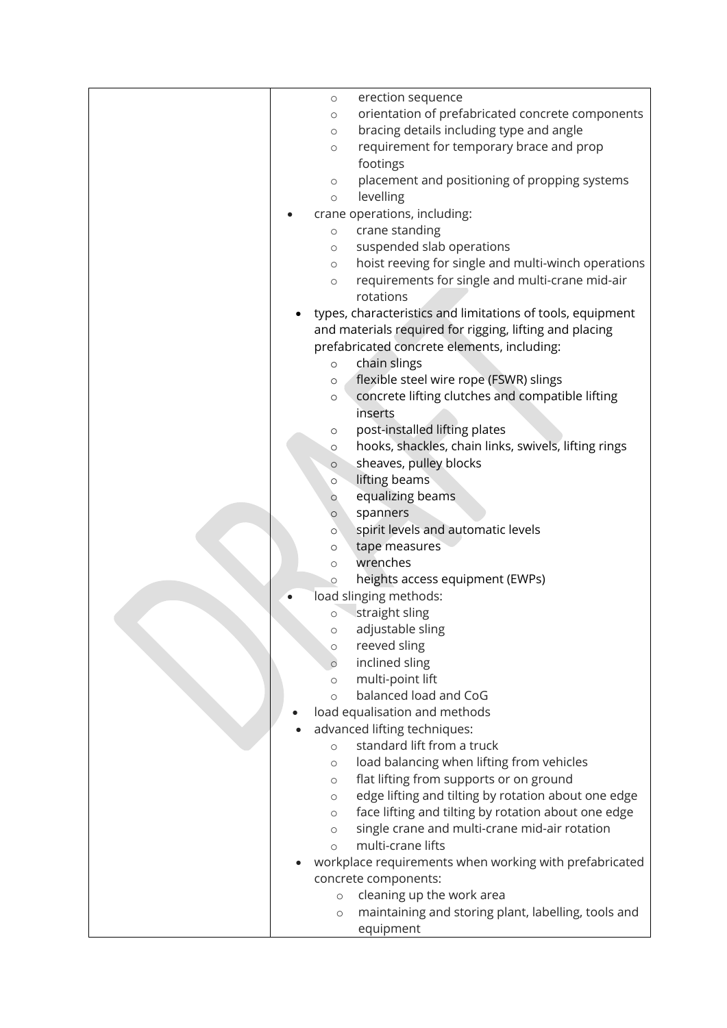| $\circ$ | erection sequence                                                                              |
|---------|------------------------------------------------------------------------------------------------|
| $\circ$ | orientation of prefabricated concrete components                                               |
| $\circ$ | bracing details including type and angle                                                       |
| $\circ$ | requirement for temporary brace and prop                                                       |
|         | footings                                                                                       |
| $\circ$ | placement and positioning of propping systems                                                  |
| $\circ$ | levelling                                                                                      |
|         | crane operations, including:                                                                   |
| $\circ$ | crane standing                                                                                 |
| $\circ$ | suspended slab operations                                                                      |
| $\circ$ | hoist reeving for single and multi-winch operations                                            |
| $\circ$ | requirements for single and multi-crane mid-air                                                |
|         | rotations                                                                                      |
|         | types, characteristics and limitations of tools, equipment                                     |
|         | and materials required for rigging, lifting and placing                                        |
|         | prefabricated concrete elements, including:                                                    |
| $\circ$ | chain slings                                                                                   |
| $\circ$ | flexible steel wire rope (FSWR) slings                                                         |
| $\circ$ | concrete lifting clutches and compatible lifting                                               |
|         | inserts                                                                                        |
| $\circ$ | post-installed lifting plates                                                                  |
| $\circ$ | hooks, shackles, chain links, swivels, lifting rings                                           |
| $\circ$ | sheaves, pulley blocks                                                                         |
| $\circ$ | lifting beams                                                                                  |
| $\circ$ | equalizing beams                                                                               |
| $\circ$ | spanners                                                                                       |
| $\circ$ | spirit levels and automatic levels                                                             |
| $\circ$ | tape measures                                                                                  |
| $\circ$ | wrenches                                                                                       |
| $\circ$ | heights access equipment (EWPs)                                                                |
|         | load slinging methods:                                                                         |
| $\circ$ | straight sling                                                                                 |
| $\circ$ | adjustable sling                                                                               |
| $\circ$ | reeved sling                                                                                   |
| $\circ$ | inclined sling                                                                                 |
| $\circ$ | multi-point lift                                                                               |
| $\circ$ | balanced load and CoG                                                                          |
|         | load equalisation and methods                                                                  |
|         | advanced lifting techniques:<br>standard lift from a truck                                     |
| $\circ$ |                                                                                                |
| $\circ$ | load balancing when lifting from vehicles                                                      |
| $\circ$ | flat lifting from supports or on ground<br>edge lifting and tilting by rotation about one edge |
| $\circ$ | face lifting and tilting by rotation about one edge                                            |
| $\circ$ | single crane and multi-crane mid-air rotation                                                  |
| $\circ$ | multi-crane lifts                                                                              |
| $\circ$ | workplace requirements when working with prefabricated                                         |
|         | concrete components:                                                                           |
| $\circ$ | cleaning up the work area                                                                      |
| $\circ$ | maintaining and storing plant, labelling, tools and                                            |
|         | equipment                                                                                      |